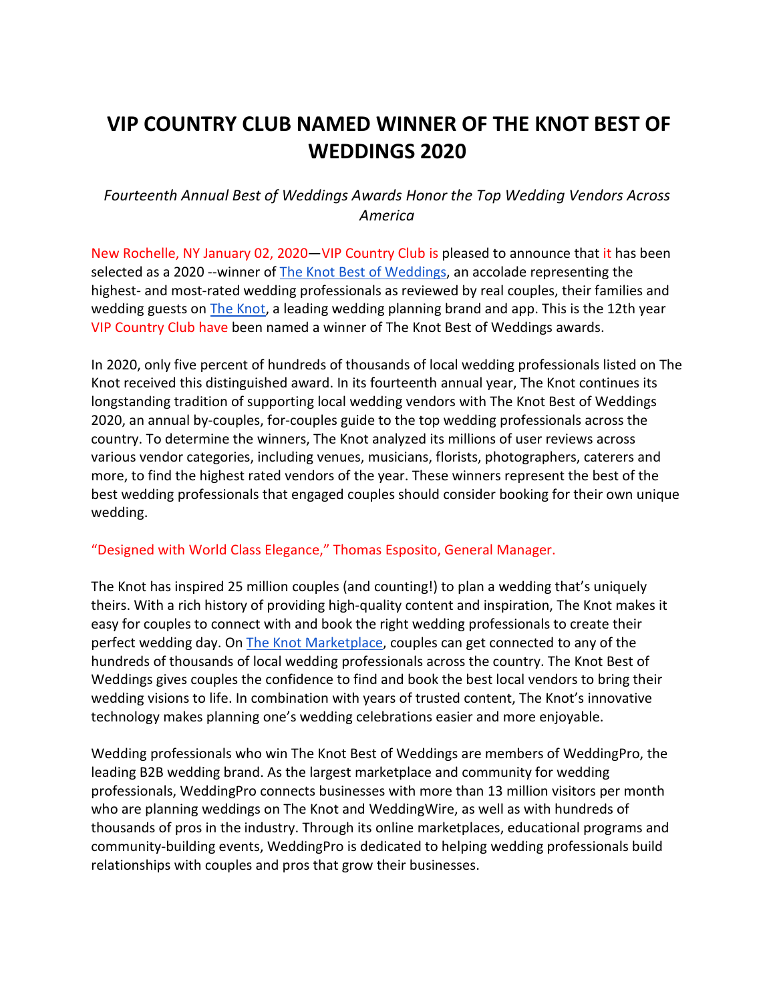# **VIP COUNTRY CLUB NAMED WINNER OF THE KNOT BEST OF WEDDINGS 2020**

# *Fourteenth Annual Best of Weddings Awards Honor the Top Wedding Vendors Across America*

New Rochelle, NY January 02, 2020—VIP Country Club is pleased to announce that it has been selected as a 2020 --winner of [The Knot Best of Weddings,](https://www.theknot.com/vendors/best-of-weddings) an accolade representing the highest- and most-rated wedding professionals as reviewed by real couples, their families and wedding guests on [The Knot,](http://www.theknot.com/) a leading wedding planning brand and app. This is the 12th year VIP Country Club have been named a winner of The Knot Best of Weddings awards.

In 2020, only five percent of hundreds of thousands of local wedding professionals listed on The Knot received this distinguished award. In its fourteenth annual year, The Knot continues its longstanding tradition of supporting local wedding vendors with The Knot Best of Weddings 2020, an annual by-couples, for-couples guide to the top wedding professionals across the country. To determine the winners, The Knot analyzed its millions of user reviews across various vendor categories, including venues, musicians, florists, photographers, caterers and more, to find the highest rated vendors of the year. These winners represent the best of the best wedding professionals that engaged couples should consider booking for their own unique wedding.

## "Designed with World Class Elegance," Thomas Esposito, General Manager.

The Knot has inspired 25 million couples (and counting!) to plan a wedding that's uniquely theirs. With a rich history of providing high-quality content and inspiration, The Knot makes it easy for couples to connect with and book the right wedding professionals to create their perfect wedding day. On [The Knot Marketplace,](https://www.theknot.com/marketplace) couples can get connected to any of the hundreds of thousands of local wedding professionals across the country. The Knot Best of Weddings gives couples the confidence to find and book the best local vendors to bring their wedding visions to life. In combination with years of trusted content, The Knot's innovative technology makes planning one's wedding celebrations easier and more enjoyable.

Wedding professionals who win The Knot Best of Weddings are members of WeddingPro, the leading B2B wedding brand. As the largest marketplace and community for wedding professionals, WeddingPro connects businesses with more than 13 million visitors per month who are planning weddings on The Knot and WeddingWire, as well as with hundreds of thousands of pros in the industry. Through its online marketplaces, educational programs and community-building events, WeddingPro is dedicated to helping wedding professionals build relationships with couples and pros that grow their businesses.